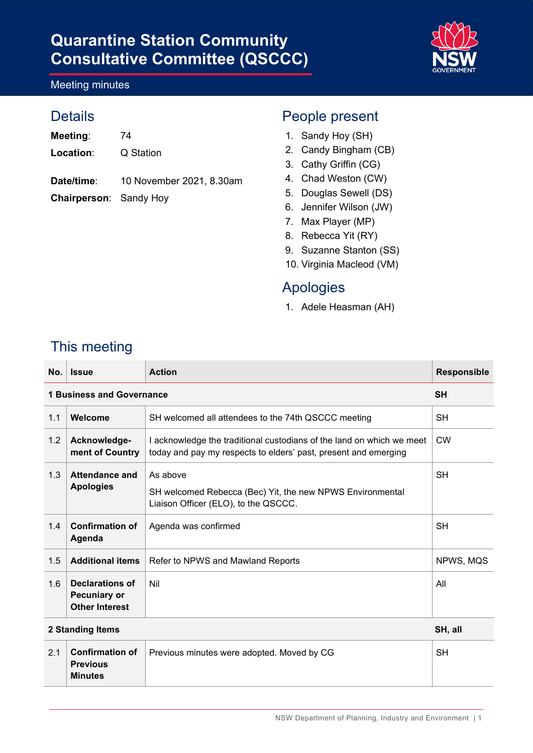

#### Meeting minutes

### **Details**

Meeting: 74

**Location**: Q Station

- **Date/time**: 10 November 2021, 8.30am
- **Chairperson**: Sandy Hoy

## People present

- 1. Sandy Hoy (SH)
- 2. Candy Bingham (CB)
- 3. Cathy Griffin (CG)
- 4. Chad Weston (CW)
- 5. Douglas Sewell (DS)
- 6. Jennifer Wilson (JW)
- 7. Max Player (MP)
- 8. Rebecca Yit (RY)
- 9. Suzanne Stanton (SS)
- 10. Virginia Macleod (VM)

### Apologies

1. Adele Heasman (AH)

## This meeting

**Minutes** 

| No.              | <b>Issue</b>                                                    | <b>Action</b>                                                                                                                            | <b>Responsible</b> |
|------------------|-----------------------------------------------------------------|------------------------------------------------------------------------------------------------------------------------------------------|--------------------|
|                  | <b>1 Business and Governance</b>                                |                                                                                                                                          | <b>SH</b>          |
| 1.1              | Welcome                                                         | SH welcomed all attendees to the 74th QSCCC meeting                                                                                      | <b>SH</b>          |
| 1.2              | Acknowledge-<br>ment of Country                                 | I acknowledge the traditional custodians of the land on which we meet<br>today and pay my respects to elders' past, present and emerging | <b>CW</b>          |
| 1.3              | Attendance and<br><b>Apologies</b>                              | As above                                                                                                                                 | <b>SH</b>          |
|                  |                                                                 | SH welcomed Rebecca (Bec) Yit, the new NPWS Environmental<br>Liaison Officer (ELO), to the QSCCC.                                        |                    |
| 1.4              | <b>Confirmation of</b><br>Agenda                                | Agenda was confirmed                                                                                                                     | <b>SH</b>          |
| 1.5              | <b>Additional items</b>                                         | Refer to NPWS and Mawland Reports                                                                                                        | NPWS, MQS          |
| 1.6              | Declarations of<br><b>Pecuniary or</b><br><b>Other Interest</b> | Nil                                                                                                                                      | All                |
| 2 Standing Items |                                                                 |                                                                                                                                          | SH, all            |
| 2.1              | <b>Confirmation of</b><br><b>Previous</b>                       | Previous minutes were adopted. Moved by CG                                                                                               | <b>SH</b>          |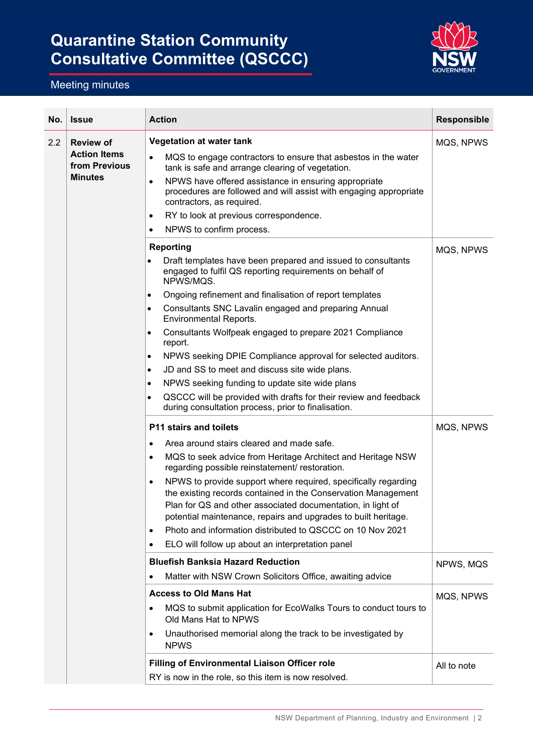

| No. | <b>Issue</b>                         | <b>Action</b>                                                                                                                                                                                                                                                                 | <b>Responsible</b> |
|-----|--------------------------------------|-------------------------------------------------------------------------------------------------------------------------------------------------------------------------------------------------------------------------------------------------------------------------------|--------------------|
| 2.2 | <b>Review of</b>                     | <b>Vegetation at water tank</b>                                                                                                                                                                                                                                               | MQS, NPWS          |
|     | <b>Action Items</b><br>from Previous | MQS to engage contractors to ensure that asbestos in the water<br>$\bullet$<br>tank is safe and arrange clearing of vegetation.                                                                                                                                               |                    |
|     | <b>Minutes</b>                       | NPWS have offered assistance in ensuring appropriate<br>$\bullet$<br>procedures are followed and will assist with engaging appropriate<br>contractors, as required.                                                                                                           |                    |
|     |                                      | RY to look at previous correspondence.<br>$\bullet$                                                                                                                                                                                                                           |                    |
|     |                                      | NPWS to confirm process.<br>$\bullet$                                                                                                                                                                                                                                         |                    |
|     |                                      | <b>Reporting</b>                                                                                                                                                                                                                                                              | MQS, NPWS          |
|     |                                      | Draft templates have been prepared and issued to consultants<br>$\bullet$<br>engaged to fulfil QS reporting requirements on behalf of<br>NPWS/MQS.                                                                                                                            |                    |
|     |                                      | Ongoing refinement and finalisation of report templates<br>$\bullet$                                                                                                                                                                                                          |                    |
|     |                                      | Consultants SNC Lavalin engaged and preparing Annual<br>$\bullet$<br><b>Environmental Reports.</b>                                                                                                                                                                            |                    |
|     |                                      | Consultants Wolfpeak engaged to prepare 2021 Compliance<br>$\bullet$<br>report.                                                                                                                                                                                               |                    |
|     |                                      | NPWS seeking DPIE Compliance approval for selected auditors.<br>$\bullet$                                                                                                                                                                                                     |                    |
|     |                                      | JD and SS to meet and discuss site wide plans.<br>$\bullet$                                                                                                                                                                                                                   |                    |
|     |                                      | NPWS seeking funding to update site wide plans<br>$\bullet$                                                                                                                                                                                                                   |                    |
|     |                                      | QSCCC will be provided with drafts for their review and feedback<br>$\bullet$<br>during consultation process, prior to finalisation.                                                                                                                                          |                    |
|     |                                      | P11 stairs and toilets                                                                                                                                                                                                                                                        | MQS, NPWS          |
|     |                                      | Area around stairs cleared and made safe.<br>$\bullet$                                                                                                                                                                                                                        |                    |
|     |                                      | MQS to seek advice from Heritage Architect and Heritage NSW<br>$\bullet$<br>regarding possible reinstatement/ restoration.                                                                                                                                                    |                    |
|     |                                      | NPWS to provide support where required, specifically regarding<br>$\bullet$<br>the existing records contained in the Conservation Management<br>Plan for QS and other associated documentation, in light of<br>potential maintenance, repairs and upgrades to built heritage. |                    |
|     |                                      | Photo and information distributed to QSCCC on 10 Nov 2021<br>$\bullet$                                                                                                                                                                                                        |                    |
|     |                                      | ELO will follow up about an interpretation panel<br>$\bullet$                                                                                                                                                                                                                 |                    |
|     |                                      | <b>Bluefish Banksia Hazard Reduction</b>                                                                                                                                                                                                                                      | NPWS, MQS          |
|     |                                      | Matter with NSW Crown Solicitors Office, awaiting advice                                                                                                                                                                                                                      |                    |
|     |                                      | <b>Access to Old Mans Hat</b>                                                                                                                                                                                                                                                 | MQS, NPWS          |
|     |                                      | MQS to submit application for EcoWalks Tours to conduct tours to<br>٠<br>Old Mans Hat to NPWS                                                                                                                                                                                 |                    |
|     |                                      | Unauthorised memorial along the track to be investigated by<br>٠<br><b>NPWS</b>                                                                                                                                                                                               |                    |
|     |                                      | <b>Filling of Environmental Liaison Officer role</b>                                                                                                                                                                                                                          | All to note        |
|     |                                      | RY is now in the role, so this item is now resolved.                                                                                                                                                                                                                          |                    |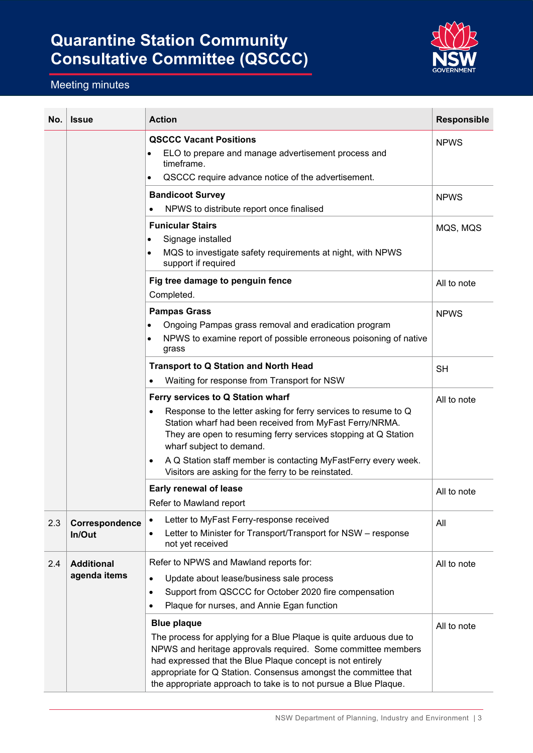

| No. | <b>Issue</b>             | <b>Action</b>                                                                                                                                                                                                                                                                                                                                                 | <b>Responsible</b> |
|-----|--------------------------|---------------------------------------------------------------------------------------------------------------------------------------------------------------------------------------------------------------------------------------------------------------------------------------------------------------------------------------------------------------|--------------------|
|     |                          | <b>QSCCC Vacant Positions</b><br>ELO to prepare and manage advertisement process and<br>$\bullet$<br>timeframe.<br>QSCCC require advance notice of the advertisement.<br>$\bullet$                                                                                                                                                                            | <b>NPWS</b>        |
|     |                          | <b>Bandicoot Survey</b>                                                                                                                                                                                                                                                                                                                                       | <b>NPWS</b>        |
|     |                          | NPWS to distribute report once finalised                                                                                                                                                                                                                                                                                                                      |                    |
|     |                          | <b>Funicular Stairs</b>                                                                                                                                                                                                                                                                                                                                       | MQS, MQS           |
|     |                          | Signage installed<br>$\bullet$<br>MQS to investigate safety requirements at night, with NPWS<br>$\bullet$<br>support if required                                                                                                                                                                                                                              |                    |
|     |                          | Fig tree damage to penguin fence<br>Completed.                                                                                                                                                                                                                                                                                                                | All to note        |
|     |                          | <b>Pampas Grass</b>                                                                                                                                                                                                                                                                                                                                           | <b>NPWS</b>        |
|     |                          | Ongoing Pampas grass removal and eradication program                                                                                                                                                                                                                                                                                                          |                    |
|     |                          | NPWS to examine report of possible erroneous poisoning of native<br>$\bullet$<br>grass                                                                                                                                                                                                                                                                        |                    |
|     |                          | <b>Transport to Q Station and North Head</b>                                                                                                                                                                                                                                                                                                                  | <b>SH</b>          |
|     |                          | Waiting for response from Transport for NSW<br>$\bullet$                                                                                                                                                                                                                                                                                                      |                    |
|     |                          | Ferry services to Q Station wharf<br>Response to the letter asking for ferry services to resume to Q<br>$\bullet$<br>Station wharf had been received from MyFast Ferry/NRMA.<br>They are open to resuming ferry services stopping at Q Station<br>wharf subject to demand.                                                                                    | All to note        |
|     |                          | A Q Station staff member is contacting MyFastFerry every week.<br>$\bullet$<br>Visitors are asking for the ferry to be reinstated.                                                                                                                                                                                                                            |                    |
|     |                          | Early renewal of lease                                                                                                                                                                                                                                                                                                                                        | All to note        |
|     |                          | Refer to Mawland report                                                                                                                                                                                                                                                                                                                                       |                    |
| 2.3 | Correspondence<br>In/Out | Letter to MyFast Ferry-response received<br>٠<br>Letter to Minister for Transport/Transport for NSW - response<br>$\bullet$<br>not yet received                                                                                                                                                                                                               | All                |
| 2.4 | <b>Additional</b>        | Refer to NPWS and Mawland reports for:                                                                                                                                                                                                                                                                                                                        | All to note        |
|     | agenda items             | Update about lease/business sale process<br>$\bullet$                                                                                                                                                                                                                                                                                                         |                    |
|     |                          | Support from QSCCC for October 2020 fire compensation<br>$\bullet$                                                                                                                                                                                                                                                                                            |                    |
|     |                          | Plaque for nurses, and Annie Egan function                                                                                                                                                                                                                                                                                                                    |                    |
|     |                          | <b>Blue plaque</b><br>The process for applying for a Blue Plaque is quite arduous due to<br>NPWS and heritage approvals required. Some committee members<br>had expressed that the Blue Plaque concept is not entirely<br>appropriate for Q Station. Consensus amongst the committee that<br>the appropriate approach to take is to not pursue a Blue Plaque. | All to note        |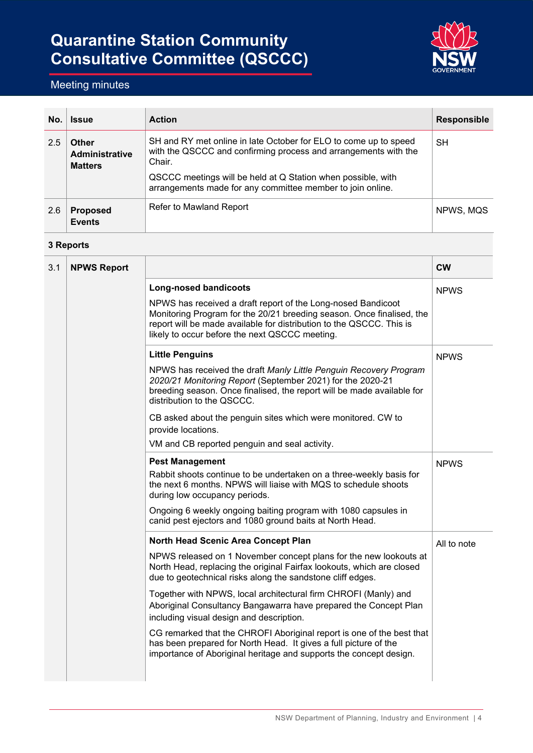

### Meeting minutes

| No. | <b>Issue</b>                                     | <b>Action</b>                                                                                                                                 | <b>Responsible</b> |
|-----|--------------------------------------------------|-----------------------------------------------------------------------------------------------------------------------------------------------|--------------------|
| 2.5 | <b>Other</b><br>Administrative<br><b>Matters</b> | SH and RY met online in late October for ELO to come up to speed<br>with the QSCCC and confirming process and arrangements with the<br>Chair. | SΗ                 |
|     |                                                  | QSCCC meetings will be held at Q Station when possible, with<br>arrangements made for any committee member to join online.                    |                    |
| 2.6 | <b>Proposed</b><br><b>Events</b>                 | Refer to Mawland Report                                                                                                                       | NPWS, MQS          |

#### **3 Reports**

| 3.1 | <b>NPWS Report</b> |                                                                                                                                                                                                                                                                 | <b>CW</b>   |
|-----|--------------------|-----------------------------------------------------------------------------------------------------------------------------------------------------------------------------------------------------------------------------------------------------------------|-------------|
|     |                    | <b>Long-nosed bandicoots</b>                                                                                                                                                                                                                                    | <b>NPWS</b> |
|     |                    | NPWS has received a draft report of the Long-nosed Bandicoot<br>Monitoring Program for the 20/21 breeding season. Once finalised, the<br>report will be made available for distribution to the QSCCC. This is<br>likely to occur before the next QSCCC meeting. |             |
|     |                    | <b>Little Penguins</b>                                                                                                                                                                                                                                          | <b>NPWS</b> |
|     |                    | NPWS has received the draft Manly Little Penguin Recovery Program<br>2020/21 Monitoring Report (September 2021) for the 2020-21<br>breeding season. Once finalised, the report will be made available for<br>distribution to the QSCCC.                         |             |
|     |                    | CB asked about the penguin sites which were monitored. CW to<br>provide locations.                                                                                                                                                                              |             |
|     |                    | VM and CB reported penguin and seal activity.                                                                                                                                                                                                                   |             |
|     |                    | <b>Pest Management</b><br>Rabbit shoots continue to be undertaken on a three-weekly basis for<br>the next 6 months. NPWS will liaise with MQS to schedule shoots<br>during low occupancy periods.                                                               | <b>NPWS</b> |
|     |                    | Ongoing 6 weekly ongoing baiting program with 1080 capsules in<br>canid pest ejectors and 1080 ground baits at North Head.                                                                                                                                      |             |
|     |                    | North Head Scenic Area Concept Plan                                                                                                                                                                                                                             | All to note |
|     |                    | NPWS released on 1 November concept plans for the new lookouts at<br>North Head, replacing the original Fairfax lookouts, which are closed<br>due to geotechnical risks along the sandstone cliff edges.                                                        |             |
|     |                    | Together with NPWS, local architectural firm CHROFI (Manly) and<br>Aboriginal Consultancy Bangawarra have prepared the Concept Plan<br>including visual design and description.                                                                                 |             |
|     |                    | CG remarked that the CHROFI Aboriginal report is one of the best that<br>has been prepared for North Head. It gives a full picture of the<br>importance of Aboriginal heritage and supports the concept design.                                                 |             |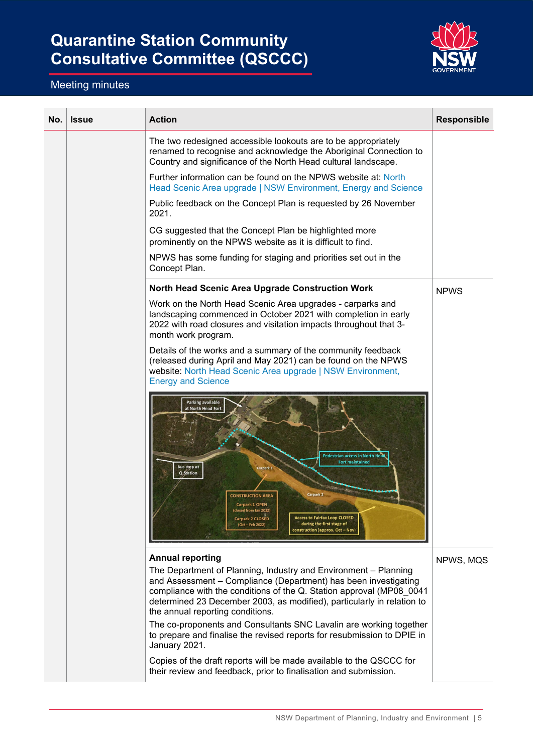

| No. | <b>Issue</b> | <b>Action</b>                                                                                                                                                                                                                                                                                                                                                                                                           | <b>Responsible</b> |
|-----|--------------|-------------------------------------------------------------------------------------------------------------------------------------------------------------------------------------------------------------------------------------------------------------------------------------------------------------------------------------------------------------------------------------------------------------------------|--------------------|
|     |              | The two redesigned accessible lookouts are to be appropriately<br>renamed to recognise and acknowledge the Aboriginal Connection to<br>Country and significance of the North Head cultural landscape.                                                                                                                                                                                                                   |                    |
|     |              | Further information can be found on the NPWS website at: North<br>Head Scenic Area upgrade   NSW Environment, Energy and Science                                                                                                                                                                                                                                                                                        |                    |
|     |              | Public feedback on the Concept Plan is requested by 26 November<br>2021.                                                                                                                                                                                                                                                                                                                                                |                    |
|     |              | CG suggested that the Concept Plan be highlighted more<br>prominently on the NPWS website as it is difficult to find.                                                                                                                                                                                                                                                                                                   |                    |
|     |              | NPWS has some funding for staging and priorities set out in the<br>Concept Plan.                                                                                                                                                                                                                                                                                                                                        |                    |
|     |              | <b>North Head Scenic Area Upgrade Construction Work</b>                                                                                                                                                                                                                                                                                                                                                                 | <b>NPWS</b>        |
|     |              | Work on the North Head Scenic Area upgrades - carparks and<br>landscaping commenced in October 2021 with completion in early<br>2022 with road closures and visitation impacts throughout that 3-<br>month work program.                                                                                                                                                                                                |                    |
|     |              | Details of the works and a summary of the community feedback<br>(released during April and May 2021) can be found on the NPWS<br>website: North Head Scenic Area upgrade   NSW Environment,<br><b>Energy and Science</b>                                                                                                                                                                                                |                    |
|     |              | <b>Parking available</b><br>at North Head Fort<br><b>Pedestrian access in North Hea</b><br><b>Fort maintained</b><br><b>Bus stop at</b><br>Carpark 1<br><b>Q</b> Station<br>Carpark 2<br><b>CONSTRUCTION AREA</b><br><b>Carpark 1 OPEN</b><br>(closed from Jan 2022)<br><b>Access to Fairfax Loop CLOSED</b><br>Carpark 2 CLOSED<br>during the first stage of<br>$(Oct - Feb 2022)$<br>construction (approx. Oct - Nov) |                    |
|     |              | <b>Annual reporting</b><br>The Department of Planning, Industry and Environment - Planning<br>and Assessment - Compliance (Department) has been investigating<br>compliance with the conditions of the Q. Station approval (MP08_0041<br>determined 23 December 2003, as modified), particularly in relation to<br>the annual reporting conditions.                                                                     | NPWS, MQS          |
|     |              | The co-proponents and Consultants SNC Lavalin are working together<br>to prepare and finalise the revised reports for resubmission to DPIE in<br>January 2021.                                                                                                                                                                                                                                                          |                    |
|     |              | Copies of the draft reports will be made available to the QSCCC for<br>their review and feedback, prior to finalisation and submission.                                                                                                                                                                                                                                                                                 |                    |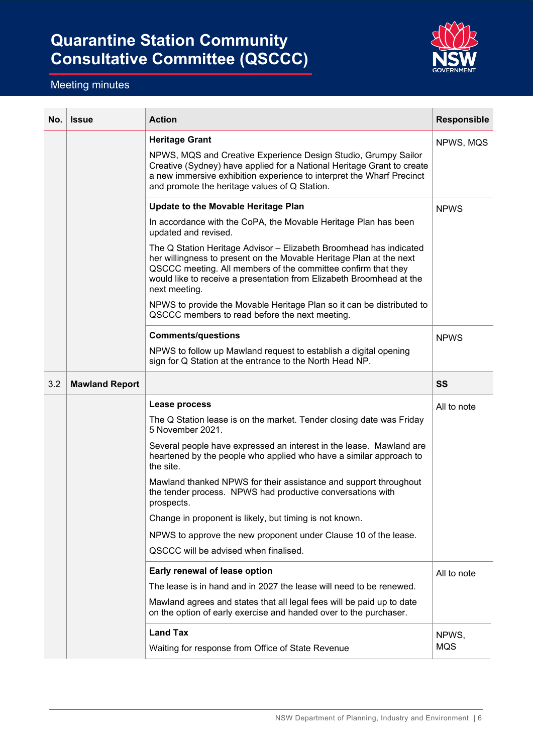

| No. | <b>Issue</b>          | <b>Action</b>                                                                                                                                                                                                                                                                                       | <b>Responsible</b> |
|-----|-----------------------|-----------------------------------------------------------------------------------------------------------------------------------------------------------------------------------------------------------------------------------------------------------------------------------------------------|--------------------|
|     |                       | <b>Heritage Grant</b>                                                                                                                                                                                                                                                                               | NPWS, MQS          |
|     |                       | NPWS, MQS and Creative Experience Design Studio, Grumpy Sailor<br>Creative (Sydney) have applied for a National Heritage Grant to create<br>a new immersive exhibition experience to interpret the Wharf Precinct<br>and promote the heritage values of Q Station.                                  |                    |
|     |                       | <b>Update to the Movable Heritage Plan</b>                                                                                                                                                                                                                                                          | <b>NPWS</b>        |
|     |                       | In accordance with the CoPA, the Movable Heritage Plan has been<br>updated and revised.                                                                                                                                                                                                             |                    |
|     |                       | The Q Station Heritage Advisor - Elizabeth Broomhead has indicated<br>her willingness to present on the Movable Heritage Plan at the next<br>QSCCC meeting. All members of the committee confirm that they<br>would like to receive a presentation from Elizabeth Broomhead at the<br>next meeting. |                    |
|     |                       | NPWS to provide the Movable Heritage Plan so it can be distributed to<br>QSCCC members to read before the next meeting.                                                                                                                                                                             |                    |
|     |                       | <b>Comments/questions</b>                                                                                                                                                                                                                                                                           | <b>NPWS</b>        |
|     |                       | NPWS to follow up Mawland request to establish a digital opening<br>sign for Q Station at the entrance to the North Head NP.                                                                                                                                                                        |                    |
| 3.2 | <b>Mawland Report</b> |                                                                                                                                                                                                                                                                                                     | SS                 |
|     |                       | Lease process                                                                                                                                                                                                                                                                                       | All to note        |
|     |                       | The Q Station lease is on the market. Tender closing date was Friday<br>5 November 2021.                                                                                                                                                                                                            |                    |
|     |                       | Several people have expressed an interest in the lease. Mawland are<br>heartened by the people who applied who have a similar approach to<br>the site.                                                                                                                                              |                    |
|     |                       | Mawland thanked NPWS for their assistance and support throughout<br>the tender process. NPWS had productive conversations with<br>prospects.                                                                                                                                                        |                    |
|     |                       | Change in proponent is likely, but timing is not known.                                                                                                                                                                                                                                             |                    |
|     |                       | NPWS to approve the new proponent under Clause 10 of the lease.                                                                                                                                                                                                                                     |                    |
|     |                       | QSCCC will be advised when finalised.                                                                                                                                                                                                                                                               |                    |
|     |                       | Early renewal of lease option                                                                                                                                                                                                                                                                       | All to note        |
|     |                       | The lease is in hand and in 2027 the lease will need to be renewed.                                                                                                                                                                                                                                 |                    |
|     |                       | Mawland agrees and states that all legal fees will be paid up to date<br>on the option of early exercise and handed over to the purchaser.                                                                                                                                                          |                    |
|     |                       | <b>Land Tax</b>                                                                                                                                                                                                                                                                                     | NPWS,              |
|     |                       | Waiting for response from Office of State Revenue                                                                                                                                                                                                                                                   | <b>MQS</b>         |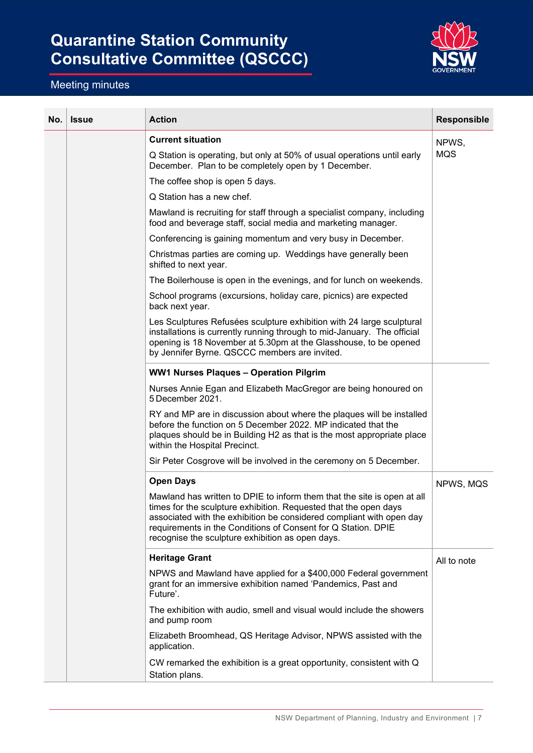

| No. | <b>Issue</b> | <b>Action</b>                                                                                                                                                                                                                                                                                                                            | <b>Responsible</b> |
|-----|--------------|------------------------------------------------------------------------------------------------------------------------------------------------------------------------------------------------------------------------------------------------------------------------------------------------------------------------------------------|--------------------|
|     |              | <b>Current situation</b>                                                                                                                                                                                                                                                                                                                 | NPWS,              |
|     |              | Q Station is operating, but only at 50% of usual operations until early<br>December. Plan to be completely open by 1 December.                                                                                                                                                                                                           | <b>MQS</b>         |
|     |              | The coffee shop is open 5 days.                                                                                                                                                                                                                                                                                                          |                    |
|     |              | Q Station has a new chef.                                                                                                                                                                                                                                                                                                                |                    |
|     |              | Mawland is recruiting for staff through a specialist company, including<br>food and beverage staff, social media and marketing manager.                                                                                                                                                                                                  |                    |
|     |              | Conferencing is gaining momentum and very busy in December.                                                                                                                                                                                                                                                                              |                    |
|     |              | Christmas parties are coming up. Weddings have generally been<br>shifted to next year.                                                                                                                                                                                                                                                   |                    |
|     |              | The Boilerhouse is open in the evenings, and for lunch on weekends.                                                                                                                                                                                                                                                                      |                    |
|     |              | School programs (excursions, holiday care, picnics) are expected<br>back next year.                                                                                                                                                                                                                                                      |                    |
|     |              | Les Sculptures Refusées sculpture exhibition with 24 large sculptural<br>installations is currently running through to mid-January. The official<br>opening is 18 November at 5.30pm at the Glasshouse, to be opened<br>by Jennifer Byrne. QSCCC members are invited.                                                                    |                    |
|     |              | <b>WW1 Nurses Plaques - Operation Pilgrim</b>                                                                                                                                                                                                                                                                                            |                    |
|     |              | Nurses Annie Egan and Elizabeth MacGregor are being honoured on<br>5 December 2021.                                                                                                                                                                                                                                                      |                    |
|     |              | RY and MP are in discussion about where the plaques will be installed<br>before the function on 5 December 2022. MP indicated that the<br>plaques should be in Building H2 as that is the most appropriate place<br>within the Hospital Precinct.                                                                                        |                    |
|     |              | Sir Peter Cosgrove will be involved in the ceremony on 5 December.                                                                                                                                                                                                                                                                       |                    |
|     |              | <b>Open Days</b>                                                                                                                                                                                                                                                                                                                         | NPWS, MQS          |
|     |              | Mawland has written to DPIE to inform them that the site is open at all<br>times for the sculpture exhibition. Requested that the open days<br>associated with the exhibition be considered compliant with open day<br>requirements in the Conditions of Consent for Q Station. DPIE<br>recognise the sculpture exhibition as open days. |                    |
|     |              | <b>Heritage Grant</b>                                                                                                                                                                                                                                                                                                                    | All to note        |
|     |              | NPWS and Mawland have applied for a \$400,000 Federal government<br>grant for an immersive exhibition named 'Pandemics, Past and<br>Future'.                                                                                                                                                                                             |                    |
|     |              | The exhibition with audio, smell and visual would include the showers<br>and pump room                                                                                                                                                                                                                                                   |                    |
|     |              | Elizabeth Broomhead, QS Heritage Advisor, NPWS assisted with the<br>application.                                                                                                                                                                                                                                                         |                    |
|     |              | CW remarked the exhibition is a great opportunity, consistent with Q<br>Station plans.                                                                                                                                                                                                                                                   |                    |